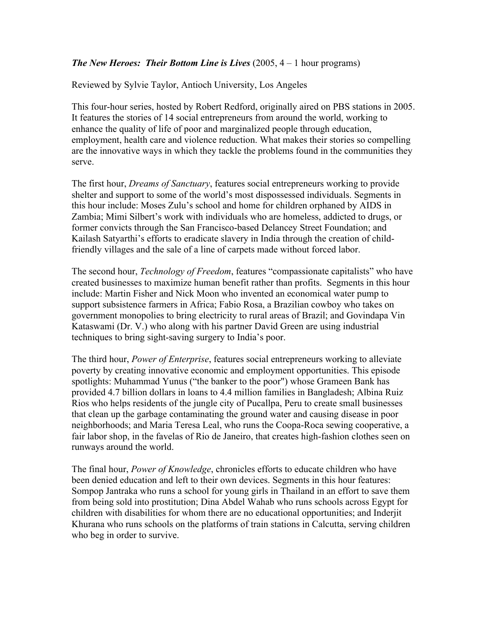## *The New Heroes: Their Bottom Line is Lives* (2005, 4 – 1 hour programs)

Reviewed by Sylvie Taylor, Antioch University, Los Angeles

This four-hour series, hosted by Robert Redford, originally aired on PBS stations in 2005. It features the stories of 14 social entrepreneurs from around the world, working to enhance the quality of life of poor and marginalized people through education, employment, health care and violence reduction. What makes their stories so compelling are the innovative ways in which they tackle the problems found in the communities they serve.

The first hour, *Dreams of Sanctuary*, features social entrepreneurs working to provide shelter and support to some of the world's most dispossessed individuals. Segments in this hour include: Moses Zulu's school and home for children orphaned by AIDS in Zambia; Mimi Silbert's work with individuals who are homeless, addicted to drugs, or former convicts through the San Francisco-based Delancey Street Foundation; and Kailash Satyarthi's efforts to eradicate slavery in India through the creation of childfriendly villages and the sale of a line of carpets made without forced labor.

The second hour, *Technology of Freedom*, features "compassionate capitalists" who have created businesses to maximize human benefit rather than profits. Segments in this hour include: Martin Fisher and Nick Moon who invented an economical water pump to support subsistence farmers in Africa; Fabio Rosa, a Brazilian cowboy who takes on government monopolies to bring electricity to rural areas of Brazil; and Govindapa Vin Kataswami (Dr. V.) who along with his partner David Green are using industrial techniques to bring sight-saving surgery to India's poor.

The third hour, *Power of Enterprise*, features social entrepreneurs working to alleviate poverty by creating innovative economic and employment opportunities. This episode spotlights: Muhammad Yunus ("the banker to the poor") whose Grameen Bank has provided 4.7 billion dollars in loans to 4.4 million families in Bangladesh; Albina Ruiz Rios who helps residents of the jungle city of Pucallpa, Peru to create small businesses that clean up the garbage contaminating the ground water and causing disease in poor neighborhoods; and Maria Teresa Leal, who runs the Coopa-Roca sewing cooperative, a fair labor shop, in the favelas of Rio de Janeiro, that creates high-fashion clothes seen on runways around the world.

The final hour, *Power of Knowledge*, chronicles efforts to educate children who have been denied education and left to their own devices. Segments in this hour features: Sompop Jantraka who runs a school for young girls in Thailand in an effort to save them from being sold into prostitution; Dina Abdel Wahab who runs schools across Egypt for children with disabilities for whom there are no educational opportunities; and Inderjit Khurana who runs schools on the platforms of train stations in Calcutta, serving children who beg in order to survive.